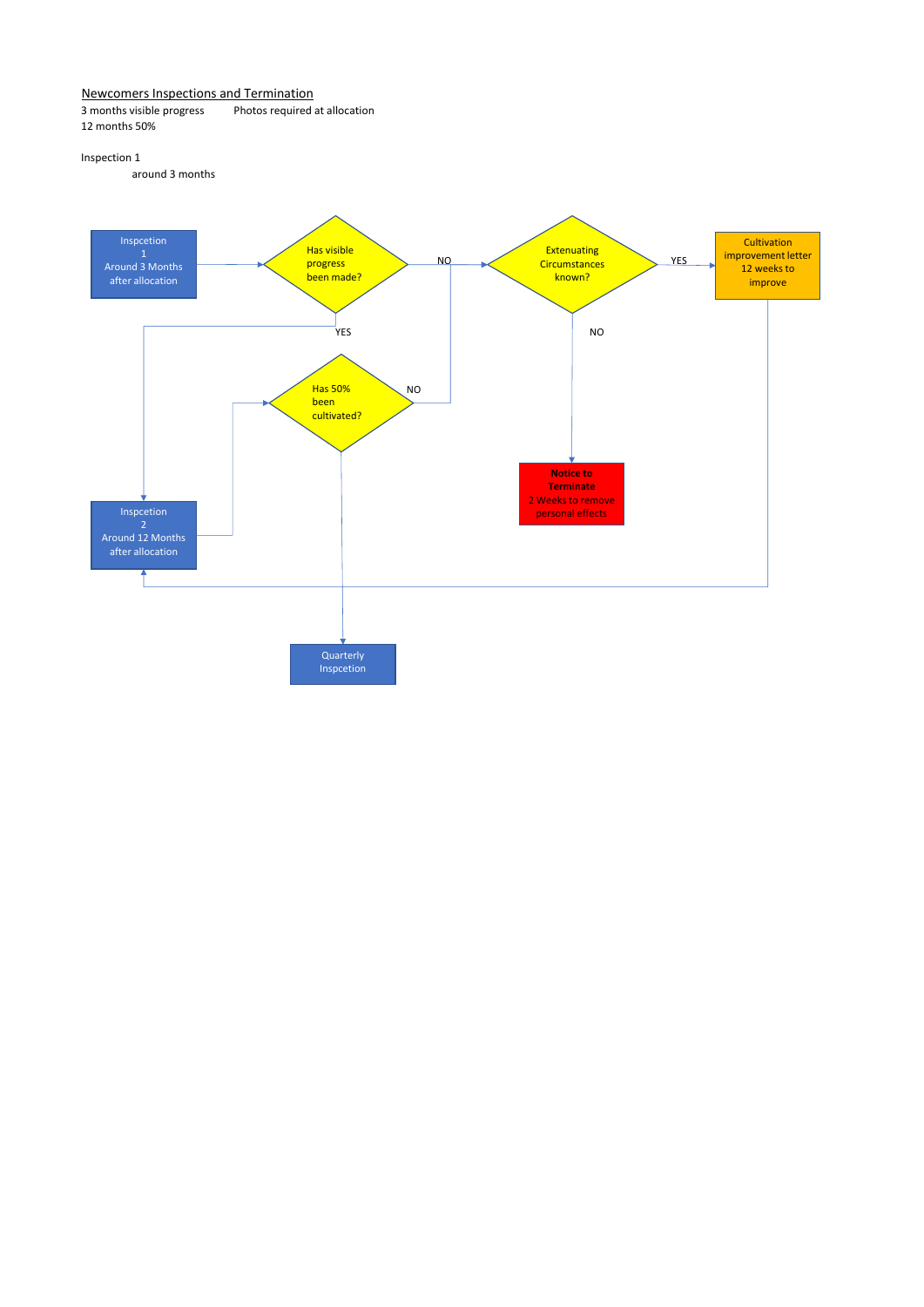# Newcomers Inspections and Termination<br>3 months visible progress Photos required

Photos required at allocation 12 months 50%

## Inspection 1

around 3 months